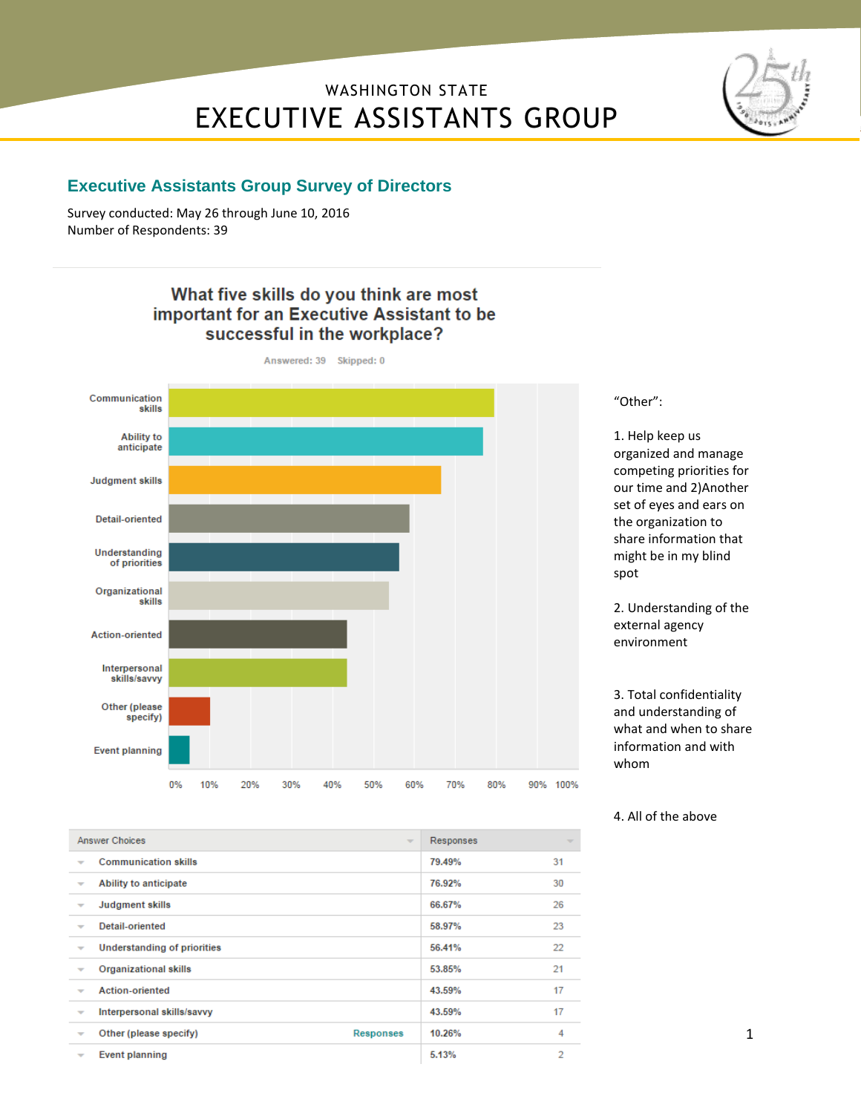# WASHINGTON STATE EXECUTIVE ASSISTANTS GROUP



#### **Executive Assistants Group Survey of Directors**

Survey conducted: May 26 through June 10, 2016 Number of Respondents: 39

#### What five skills do you think are most important for an Executive Assistant to be successful in the workplace?



"Other":

1. Help keep us organized and manage competing priorities for our time and 2)Another set of eyes and ears on the organization to share information that might be in my blind spot

2. Understanding of the external agency environment

3. Total confidentiality and understanding of what and when to share information and with whom

<sup>4.</sup> All of the above

| <b>Answer Choices</b><br>$\sim$                                        | Responses | $\overline{\phantom{a}}$ |
|------------------------------------------------------------------------|-----------|--------------------------|
| <b>Communication skills</b><br>$\overline{\phantom{a}}$                | 79.49%    | 31                       |
| Ability to anticipate<br>$\overline{\phantom{a}}$                      | 76.92%    | 30                       |
| <b>Judgment skills</b><br>÷                                            | 66.67%    | 26                       |
| Detail-oriented<br>$\overline{\phantom{a}}$                            | 58.97%    | 23                       |
| <b>Understanding of priorities</b><br>$\overline{\phantom{a}}$         | 56.41%    | 22                       |
| <b>Organizational skills</b><br>$\overline{\phantom{a}}$               | 53,85%    | 21                       |
| <b>Action-oriented</b><br>$\overline{\phantom{a}}$                     | 43.59%    | 17                       |
| Interpersonal skills/savvy<br>$\overline{\phantom{a}}$                 | 43.59%    | 17                       |
| Other (please specify)<br><b>Responses</b><br>$\overline{\phantom{a}}$ | 10.26%    | 4                        |
| Event planning<br>÷                                                    | 5.13%     | 2                        |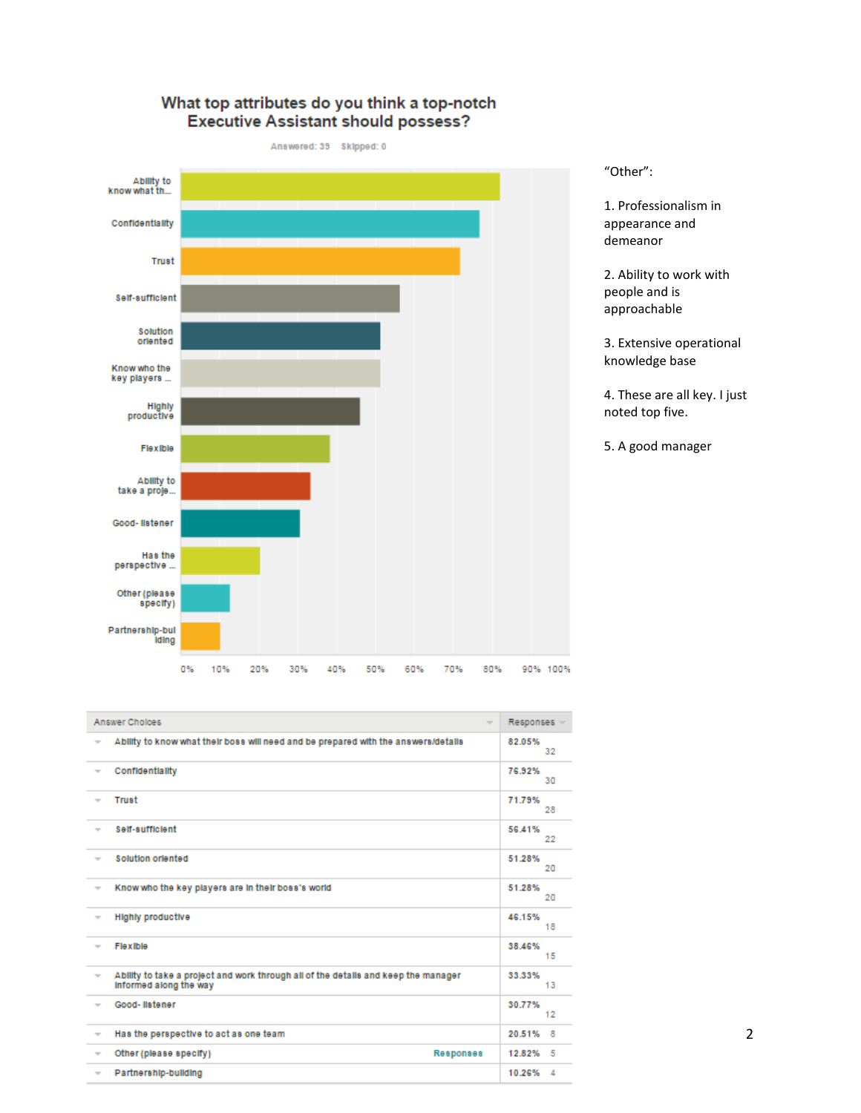#### What top attributes do you think a top-notch **Executive Assistant should possess?**

Answered: 39 Skipped: 0



"Other":

1. Professionalism in appearance and demeanor

2. Ability to work with people and is approachable

3. Extensive operational knowledge base

4. These are all key. I just noted top five.

5. A good manager

|                          | Answer Cholces<br>$\overline{\phantom{a}}$                                                                   | Responses -        |
|--------------------------|--------------------------------------------------------------------------------------------------------------|--------------------|
| $\overline{\phantom{a}}$ | Ability to know what their boss will need and be prepared with the answers/details                           | 82.05%<br>32       |
| $\overline{\phantom{a}}$ | Confidentiality                                                                                              | 76.92%<br>30       |
| $\overline{\phantom{a}}$ | Trust                                                                                                        | 71.79%<br>28       |
| $\overline{\phantom{a}}$ | Self-sufficient                                                                                              | 56.41%<br>22       |
| $\overline{\phantom{a}}$ | Solution oriented                                                                                            | 51.28%<br>20       |
| $\overline{\phantom{a}}$ | Know who the key players are in their boss's world                                                           | 51.28%<br>20       |
| $\overline{\phantom{a}}$ | <b>Highly productive</b>                                                                                     | 46.15%<br>18       |
| $\overline{\phantom{a}}$ | Flexible                                                                                                     | 38.46%<br>15       |
| $\overline{\phantom{a}}$ | Ability to take a project and work through all of the details and keep the manager<br>Informed along the way | 33.33%<br>13       |
| $\overline{\phantom{a}}$ | Good-Ilstener                                                                                                | 30.77%<br>12       |
| $\overline{\phantom{a}}$ | Has the perspective to act as one team                                                                       | 20.51%<br>8        |
| $\overline{\phantom{a}}$ | Other (please specify)<br><b>Responses</b>                                                                   | 12.82% 5           |
| $\overline{\phantom{a}}$ | Partnership-building                                                                                         | 10.26%<br>$\Delta$ |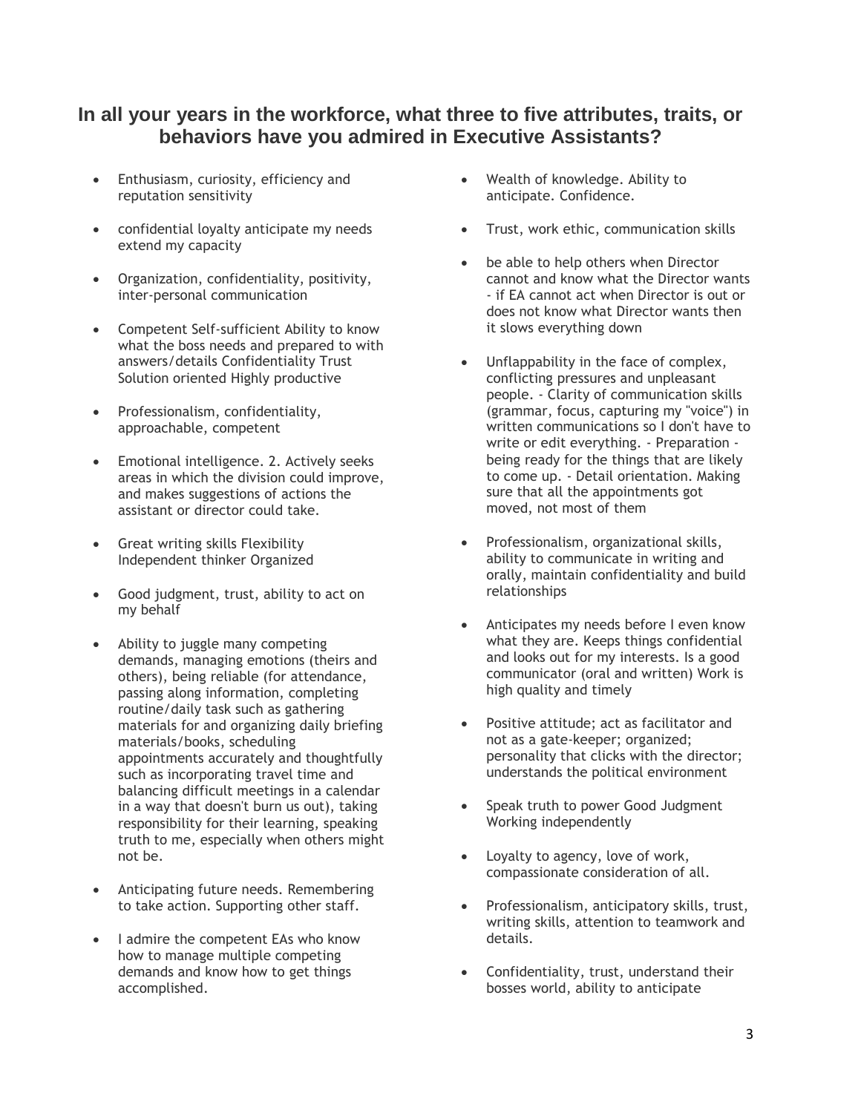## **In all your years in the workforce, what three to five attributes, traits, or behaviors have you admired in Executive Assistants?**

- Enthusiasm, curiosity, efficiency and reputation sensitivity
- confidential loyalty anticipate my needs extend my capacity
- Organization, confidentiality, positivity, inter-personal communication
- Competent Self-sufficient Ability to know what the boss needs and prepared to with answers/details Confidentiality Trust Solution oriented Highly productive
- Professionalism, confidentiality, approachable, competent
- Emotional intelligence. 2. Actively seeks areas in which the division could improve, and makes suggestions of actions the assistant or director could take.
- Great writing skills Flexibility Independent thinker Organized
- Good judgment, trust, ability to act on my behalf
- Ability to juggle many competing demands, managing emotions (theirs and others), being reliable (for attendance, passing along information, completing routine/daily task such as gathering materials for and organizing daily briefing materials/books, scheduling appointments accurately and thoughtfully such as incorporating travel time and balancing difficult meetings in a calendar in a way that doesn't burn us out), taking responsibility for their learning, speaking truth to me, especially when others might not be.
- Anticipating future needs. Remembering to take action. Supporting other staff.
- I admire the competent EAs who know how to manage multiple competing demands and know how to get things accomplished.
- Wealth of knowledge. Ability to anticipate. Confidence.
- Trust, work ethic, communication skills
- be able to help others when Director cannot and know what the Director wants - if EA cannot act when Director is out or does not know what Director wants then it slows everything down
- Unflappability in the face of complex, conflicting pressures and unpleasant people. - Clarity of communication skills (grammar, focus, capturing my "voice") in written communications so I don't have to write or edit everything. - Preparation being ready for the things that are likely to come up. - Detail orientation. Making sure that all the appointments got moved, not most of them
- Professionalism, organizational skills, ability to communicate in writing and orally, maintain confidentiality and build relationships
- Anticipates my needs before I even know what they are. Keeps things confidential and looks out for my interests. Is a good communicator (oral and written) Work is high quality and timely
- Positive attitude; act as facilitator and not as a gate-keeper; organized; personality that clicks with the director; understands the political environment
- Speak truth to power Good Judgment Working independently
- Loyalty to agency, love of work, compassionate consideration of all.
- Professionalism, anticipatory skills, trust, writing skills, attention to teamwork and details.
- Confidentiality, trust, understand their bosses world, ability to anticipate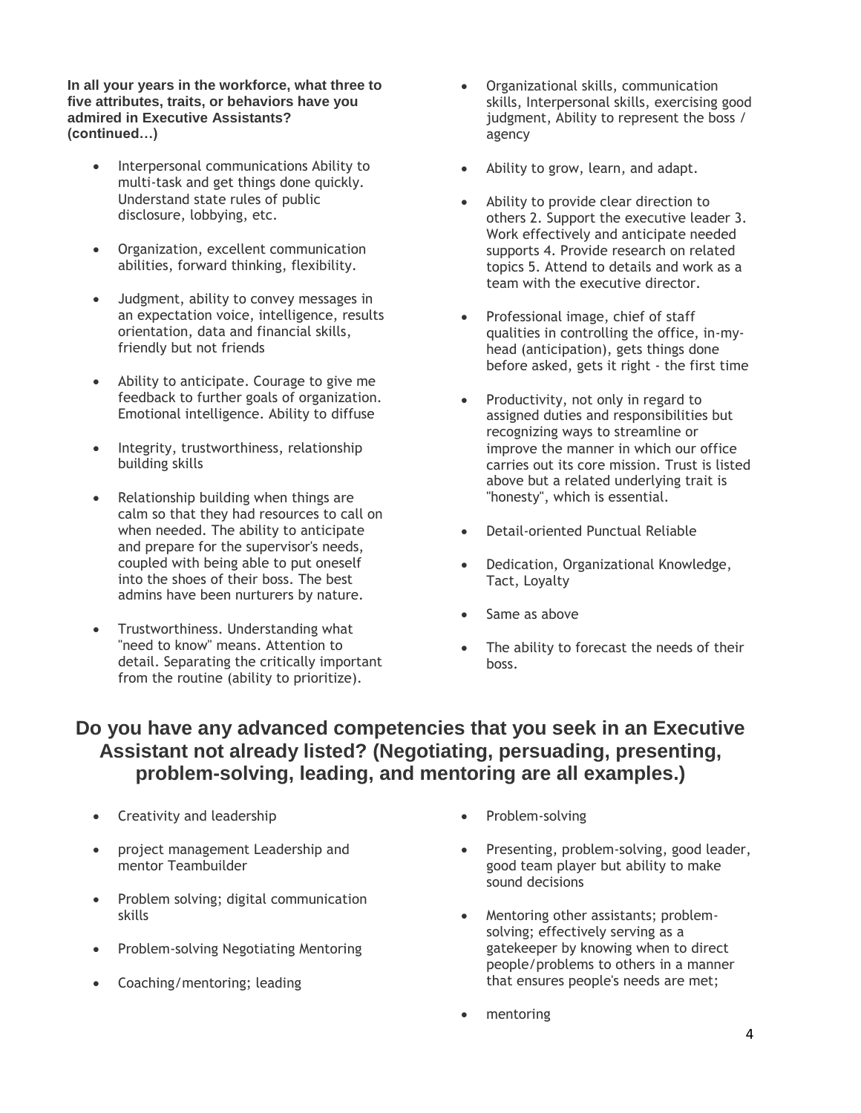**In all your years in the workforce, what three to five attributes, traits, or behaviors have you admired in Executive Assistants? (continued…)**

- Interpersonal communications Ability to multi-task and get things done quickly. Understand state rules of public disclosure, lobbying, etc.
- Organization, excellent communication abilities, forward thinking, flexibility.
- Judgment, ability to convey messages in an expectation voice, intelligence, results orientation, data and financial skills, friendly but not friends
- Ability to anticipate. Courage to give me feedback to further goals of organization. Emotional intelligence. Ability to diffuse
- Integrity, trustworthiness, relationship building skills
- Relationship building when things are calm so that they had resources to call on when needed. The ability to anticipate and prepare for the supervisor's needs, coupled with being able to put oneself into the shoes of their boss. The best admins have been nurturers by nature.
- Trustworthiness. Understanding what "need to know" means. Attention to detail. Separating the critically important from the routine (ability to prioritize).
- Organizational skills, communication skills, Interpersonal skills, exercising good judgment, Ability to represent the boss / agency
- Ability to grow, learn, and adapt.
- Ability to provide clear direction to others 2. Support the executive leader 3. Work effectively and anticipate needed supports 4. Provide research on related topics 5. Attend to details and work as a team with the executive director.
- Professional image, chief of staff qualities in controlling the office, in-myhead (anticipation), gets things done before asked, gets it right - the first time
- Productivity, not only in regard to assigned duties and responsibilities but recognizing ways to streamline or improve the manner in which our office carries out its core mission. Trust is listed above but a related underlying trait is "honesty", which is essential.
- Detail-oriented Punctual Reliable
- Dedication, Organizational Knowledge, Tact, Loyalty
- Same as above
- The ability to forecast the needs of their boss.

### **Do you have any advanced competencies that you seek in an Executive Assistant not already listed? (Negotiating, persuading, presenting, problem-solving, leading, and mentoring are all examples.)**

- Creativity and leadership
- project management Leadership and mentor Teambuilder
- Problem solving; digital communication skills
- Problem-solving Negotiating Mentoring
- Coaching/mentoring; leading
- Problem-solving
- Presenting, problem-solving, good leader, good team player but ability to make sound decisions
- Mentoring other assistants; problemsolving; effectively serving as a gatekeeper by knowing when to direct people/problems to others in a manner that ensures people's needs are met;
- mentoring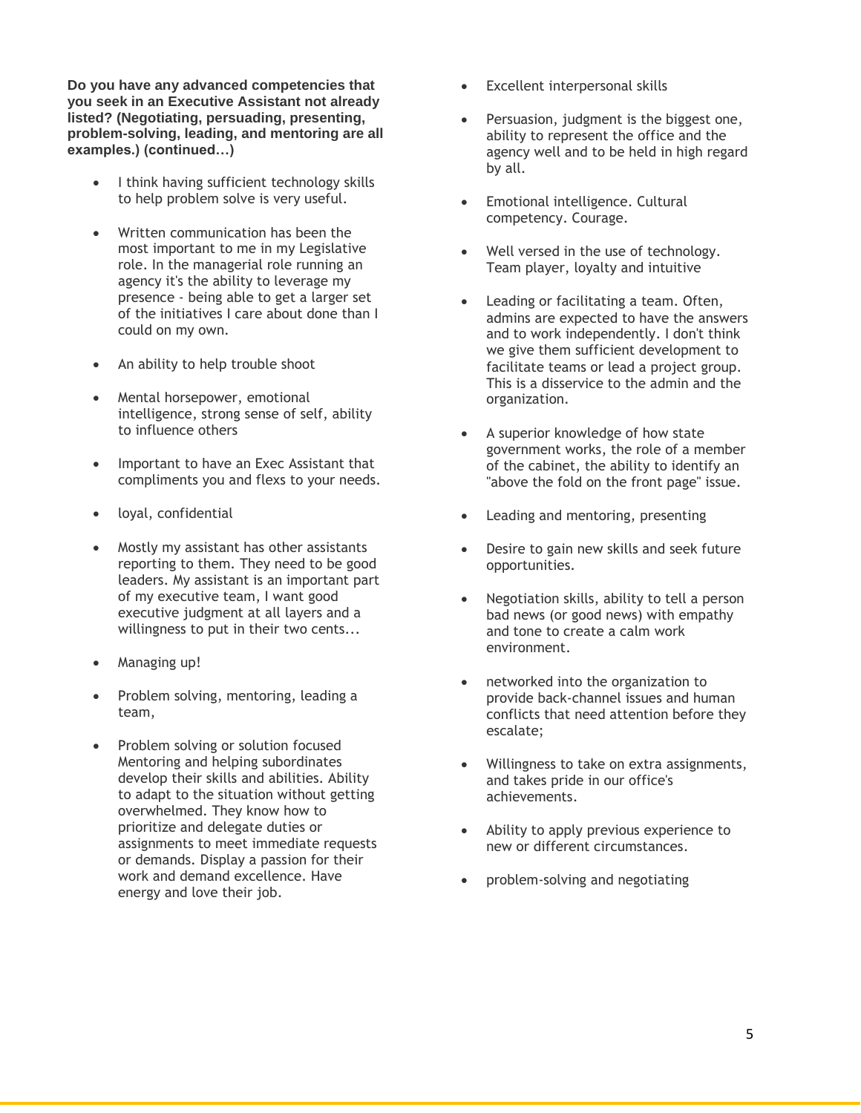**Do you have any advanced competencies that you seek in an Executive Assistant not already listed? (Negotiating, persuading, presenting, problem-solving, leading, and mentoring are all examples.) (continued…)**

- I think having sufficient technology skills to help problem solve is very useful.
- Written communication has been the most important to me in my Legislative role. In the managerial role running an agency it's the ability to leverage my presence - being able to get a larger set of the initiatives I care about done than I could on my own.
- An ability to help trouble shoot
- Mental horsepower, emotional intelligence, strong sense of self, ability to influence others
- Important to have an Exec Assistant that compliments you and flexs to your needs.
- loyal, confidential
- Mostly my assistant has other assistants reporting to them. They need to be good leaders. My assistant is an important part of my executive team, I want good executive judgment at all layers and a willingness to put in their two cents...
- Managing up!
- Problem solving, mentoring, leading a team,
- Problem solving or solution focused Mentoring and helping subordinates develop their skills and abilities. Ability to adapt to the situation without getting overwhelmed. They know how to prioritize and delegate duties or assignments to meet immediate requests or demands. Display a passion for their work and demand excellence. Have energy and love their job.
- Excellent interpersonal skills
- Persuasion, judgment is the biggest one, ability to represent the office and the agency well and to be held in high regard by all.
- Emotional intelligence. Cultural competency. Courage.
- Well versed in the use of technology. Team player, loyalty and intuitive
- Leading or facilitating a team. Often, admins are expected to have the answers and to work independently. I don't think we give them sufficient development to facilitate teams or lead a project group. This is a disservice to the admin and the organization.
- A superior knowledge of how state government works, the role of a member of the cabinet, the ability to identify an "above the fold on the front page" issue.
- Leading and mentoring, presenting
- Desire to gain new skills and seek future opportunities.
- Negotiation skills, ability to tell a person bad news (or good news) with empathy and tone to create a calm work environment.
- networked into the organization to provide back-channel issues and human conflicts that need attention before they escalate;
- Willingness to take on extra assignments, and takes pride in our office's achievements.
- Ability to apply previous experience to new or different circumstances.
- problem-solving and negotiating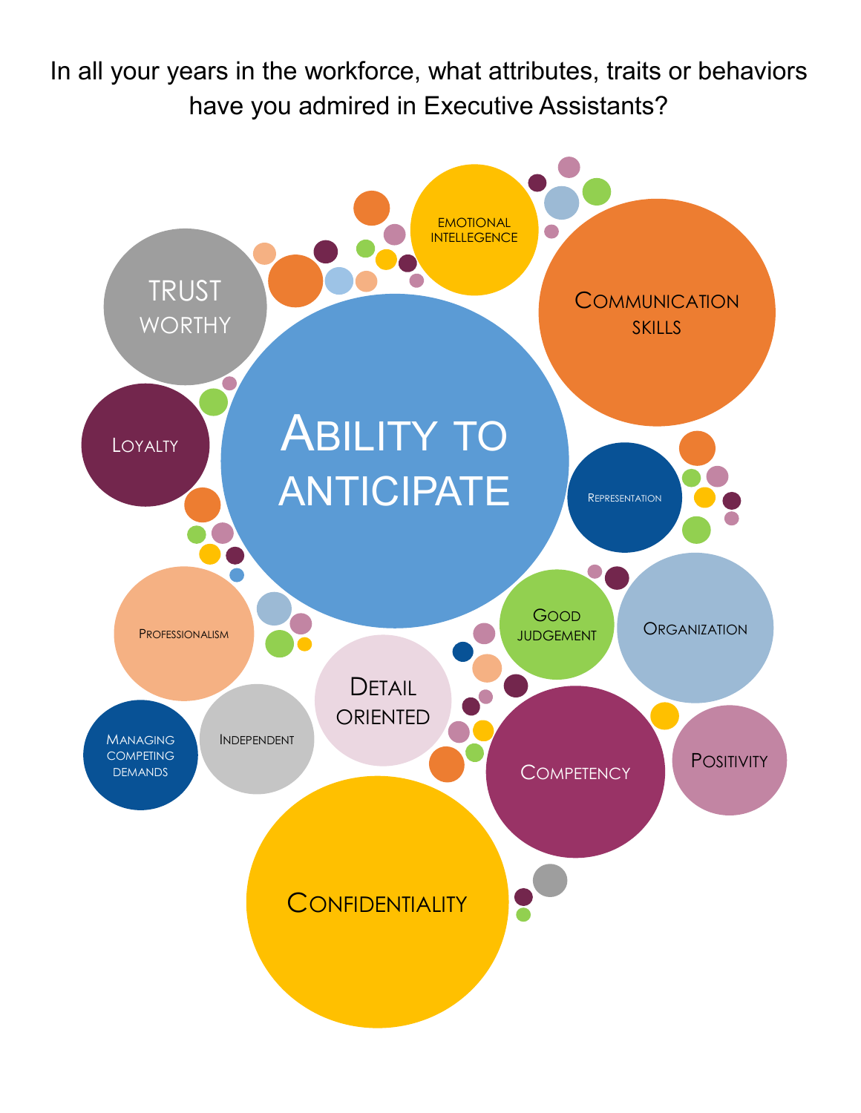In all your years in the workforce, what attributes, traits or behaviors have you admired in Executive Assistants?